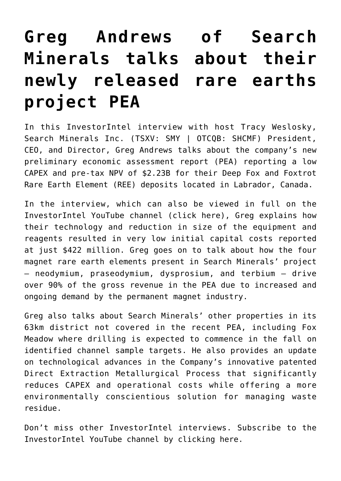## **[Greg Andrews of Search](https://investorintel.com/investorintel-video/greg-andrews-of-search-minerals-talks-about-their-newly-released-rare-earths-project-pea/) [Minerals talks about their](https://investorintel.com/investorintel-video/greg-andrews-of-search-minerals-talks-about-their-newly-released-rare-earths-project-pea/) [newly released rare earths](https://investorintel.com/investorintel-video/greg-andrews-of-search-minerals-talks-about-their-newly-released-rare-earths-project-pea/) [project PEA](https://investorintel.com/investorintel-video/greg-andrews-of-search-minerals-talks-about-their-newly-released-rare-earths-project-pea/)**

In this InvestorIntel interview with host Tracy Weslosky, [Search Minerals Inc.](http://www.searchminerals.ca/) (TSXV: SMY | OTCQB: SHCMF) President, CEO, and Director, Greg Andrews talks about the company's new [preliminary economic assessment](https://investorintel.com/markets/technology-metals/technology-metals-news/search-minerals-announces-positive-preliminary-economic-assessment-for-the-deep-fox-and-foxtrot-rare-earth-element-project-with-2-23-billion-npv8/) report (PEA) reporting a low CAPEX and pre-tax NPV of \$2.23B for their Deep Fox and Foxtrot Rare Earth Element (REE) deposits located in Labrador, Canada.

In the interview, which can also be viewed in full on the InvestorIntel YouTube channel ([click here](https://youtu.be/v2UzYc4Sdwg)), Greg explains how their technology and reduction in size of the equipment and reagents resulted in very low initial capital costs reported at just \$422 million. Greg goes on to talk about how the four magnet rare earth elements present in Search Minerals' project – neodymium, praseodymium, dysprosium, and terbium – drive over 90% of the gross revenue in the PEA due to increased and ongoing demand by the permanent magnet industry.

Greg also talks about Search Minerals' other properties in its 63km district not covered in the recent PEA, including Fox Meadow where drilling is expected to commence in the fall on identified channel sample targets. He also provides an update on technological advances in the Company's innovative patented Direct Extraction Metallurgical Process that significantly reduces CAPEX and operational costs while offering a more environmentally conscientious solution for managing waste residue.

Don't miss other InvestorIntel interviews. Subscribe to the InvestorIntel YouTube channel by [clicking here](https://www.youtube.com/watch?v=pvIGDUjhFSg).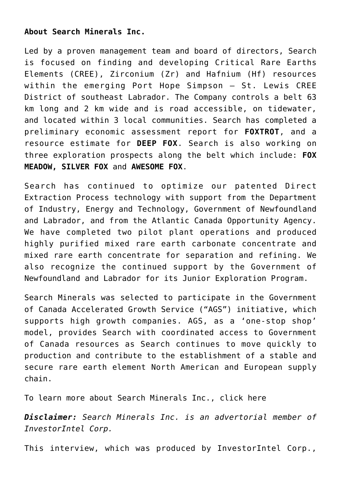## **About Search Minerals Inc.**

Led by a proven management team and board of directors, Search is focused on finding and developing Critical Rare Earths Elements (CREE), Zirconium (Zr) and Hafnium (Hf) resources within the emerging Port Hope Simpson – St. Lewis CREE District of southeast Labrador. The Company controls a belt 63 km long and 2 km wide and is road accessible, on tidewater, and located within 3 local communities. Search has completed a preliminary economic assessment report for **FOXTROT**, and a resource estimate for **DEEP FOX**. Search is also working on three exploration prospects along the belt which include: **FOX MEADOW, SILVER FOX** and **AWESOME FOX**.

Search has continued to optimize our patented Direct Extraction Process technology with support from the Department of Industry, Energy and Technology, Government of Newfoundland and Labrador, and from the Atlantic Canada Opportunity Agency. We have completed two pilot plant operations and produced highly purified mixed rare earth carbonate concentrate and mixed rare earth concentrate for separation and refining. We also recognize the continued support by the Government of Newfoundland and Labrador for its Junior Exploration Program.

Search Minerals was selected to participate in the Government of Canada Accelerated Growth Service ("AGS") initiative, which supports high growth companies. AGS, as a 'one-stop shop' model, provides Search with coordinated access to Government of Canada resources as Search continues to move quickly to production and contribute to the establishment of a stable and secure rare earth element North American and European supply chain.

To learn more about Search Minerals Inc., [click here](http://www.searchminerals.ca/)

*Disclaimer: Search Minerals Inc. is an advertorial member of InvestorIntel Corp.*

This interview, which was produced by InvestorIntel Corp.,